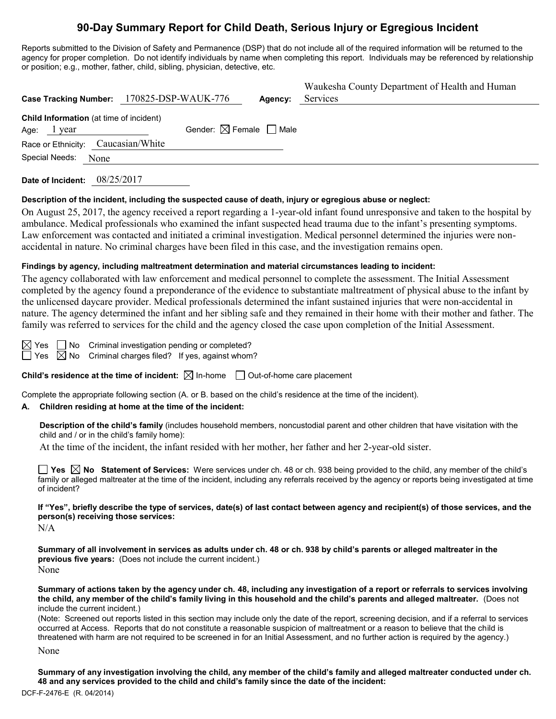# **90-Day Summary Report for Child Death, Serious Injury or Egregious Incident**

Reports submitted to the Division of Safety and Permanence (DSP) that do not include all of the required information will be returned to the agency for proper completion. Do not identify individuals by name when completing this report. Individuals may be referenced by relationship or position; e.g., mother, father, child, sibling, physician, detective, etc.

|                                                        | Case Tracking Number: 170825-DSP-WAUK-776 | Agency: | Waukesha County Department of Health and Human<br>Services |
|--------------------------------------------------------|-------------------------------------------|---------|------------------------------------------------------------|
| Child Information (at time of incident)<br>Age: 1 year | Gender: $\boxtimes$ Female $\Box$ Male    |         |                                                            |
| Race or Ethnicity: Caucasian/White                     |                                           |         |                                                            |
| Special Needs: None                                    |                                           |         |                                                            |
|                                                        |                                           |         |                                                            |

**Date of Incident:** 08/25/2017

#### **Description of the incident, including the suspected cause of death, injury or egregious abuse or neglect:**

On August 25, 2017, the agency received a report regarding a 1-year-old infant found unresponsive and taken to the hospital by ambulance. Medical professionals who examined the infant suspected head trauma due to the infant's presenting symptoms. Law enforcement was contacted and initiated a criminal investigation. Medical personnel determined the injuries were nonaccidental in nature. No criminal charges have been filed in this case, and the investigation remains open.

#### **Findings by agency, including maltreatment determination and material circumstances leading to incident:**

The agency collaborated with law enforcement and medical personnel to complete the assessment. The Initial Assessment completed by the agency found a preponderance of the evidence to substantiate maltreatment of physical abuse to the infant by the unlicensed daycare provider. Medical professionals determined the infant sustained injuries that were non-accidental in nature. The agency determined the infant and her sibling safe and they remained in their home with their mother and father. The family was referred to services for the child and the agency closed the case upon completion of the Initial Assessment.

 $\boxtimes$  Yes  $\Box$  No Criminal investigation pending or completed?

 $\Box$  Yes  $\boxtimes$  No Criminal charges filed? If yes, against whom?

**Child's residence at the time of incident:**  $\boxtimes$  In-home  $\Box$  Out-of-home care placement

Complete the appropriate following section (A. or B. based on the child's residence at the time of the incident).

#### **A. Children residing at home at the time of the incident:**

**Description of the child's family** (includes household members, noncustodial parent and other children that have visitation with the child and / or in the child's family home):

At the time of the incident, the infant resided with her mother, her father and her 2-year-old sister.

**Yes No Statement of Services:** Were services under ch. 48 or ch. 938 being provided to the child, any member of the child's family or alleged maltreater at the time of the incident, including any referrals received by the agency or reports being investigated at time of incident?

**If "Yes", briefly describe the type of services, date(s) of last contact between agency and recipient(s) of those services, and the person(s) receiving those services:**

N/A

**Summary of all involvement in services as adults under ch. 48 or ch. 938 by child's parents or alleged maltreater in the previous five years:** (Does not include the current incident.) None

**Summary of actions taken by the agency under ch. 48, including any investigation of a report or referrals to services involving the child, any member of the child's family living in this household and the child's parents and alleged maltreater.** (Does not include the current incident.)

(Note: Screened out reports listed in this section may include only the date of the report, screening decision, and if a referral to services occurred at Access. Reports that do not constitute a reasonable suspicion of maltreatment or a reason to believe that the child is threatened with harm are not required to be screened in for an Initial Assessment, and no further action is required by the agency.)

None

**Summary of any investigation involving the child, any member of the child's family and alleged maltreater conducted under ch. 48 and any services provided to the child and child's family since the date of the incident:**